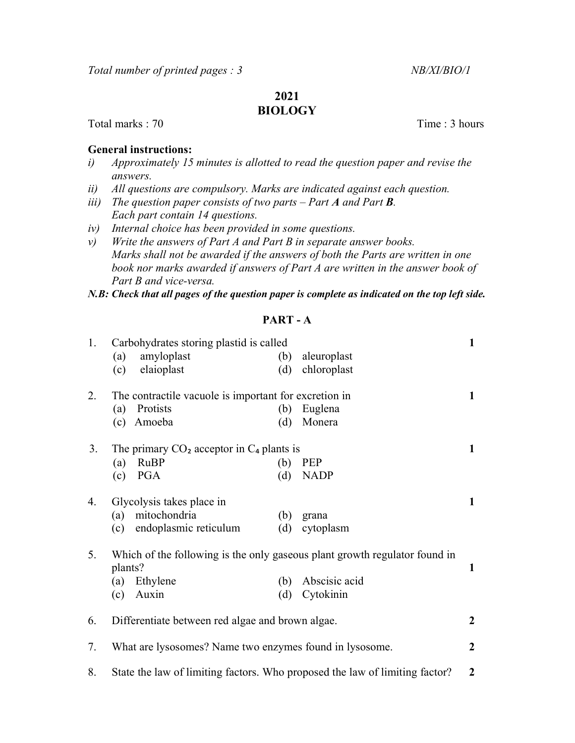# 2021

## BIOLOGY

Total marks : 70 Total marks : 70 Total marks : 70 Total marks : 70 Total marks : 70 Total marks : 70 Total marks : 70 Total marks : 70 Total marks : 70 Total marks : 70 Total marks : 70 Total marks : 70 Total marks : 70 T

#### General instructions:

- i) Approximately 15 minutes is allotted to read the question paper and revise the answers.
- ii) All questions are compulsory. Marks are indicated against each question.
- iii) The question paper consists of two parts Part  $A$  and Part  $B$ . Each part contain 14 questions.
- iv) Internal choice has been provided in some questions.
- v) Write the answers of Part A and Part B in separate answer books. Marks shall not be awarded if the answers of both the Parts are written in one book nor marks awarded if answers of Part A are written in the answer book of Part B and vice-versa.

N.B: Check that all pages of the question paper is complete as indicated on the top left side.

#### PART - A

| 1. | Carbohydrates storing plastid is called                                               |     |               | $\mathbf{1}$   |
|----|---------------------------------------------------------------------------------------|-----|---------------|----------------|
|    | amyloplast<br>(a)                                                                     | (b) | aleuroplast   |                |
|    | elaioplast<br>(c)                                                                     | (d) | chloroplast   |                |
| 2. | The contractile vacuole is important for excretion in                                 |     |               | $\mathbf{1}$   |
|    | Protists<br>(a)                                                                       | (b) | Euglena       |                |
|    | Amoeba<br>(c)                                                                         | (d) | Monera        |                |
| 3. | The primary $CO2$ acceptor in $C4$ plants is                                          |     |               | $\mathbf{1}$   |
|    | <b>RuBP</b><br>(a)                                                                    | (b) | <b>PEP</b>    |                |
|    | PGA<br>(c)                                                                            | (d) | <b>NADP</b>   |                |
| 4. | Glycolysis takes place in                                                             |     |               | $\mathbf{1}$   |
|    | mitochondria<br>(a)                                                                   | (b) | grana         |                |
|    | endoplasmic reticulum<br>(c)                                                          | (d) | cytoplasm     |                |
| 5. | Which of the following is the only gaseous plant growth regulator found in<br>plants? |     |               | $\mathbf{1}$   |
|    | Ethylene<br>(a)                                                                       | (b) | Abscisic acid |                |
|    | Auxin<br>(c)                                                                          | (d) | Cytokinin     |                |
|    |                                                                                       |     |               |                |
| 6. | Differentiate between red algae and brown algae.                                      |     |               | $\overline{2}$ |
| 7. | What are lysosomes? Name two enzymes found in lysosome.                               |     |               | $\overline{2}$ |
|    | State the law of limiting factors. Who proposed the law of limiting factor?           |     |               |                |
| 8. |                                                                                       |     |               | $\overline{2}$ |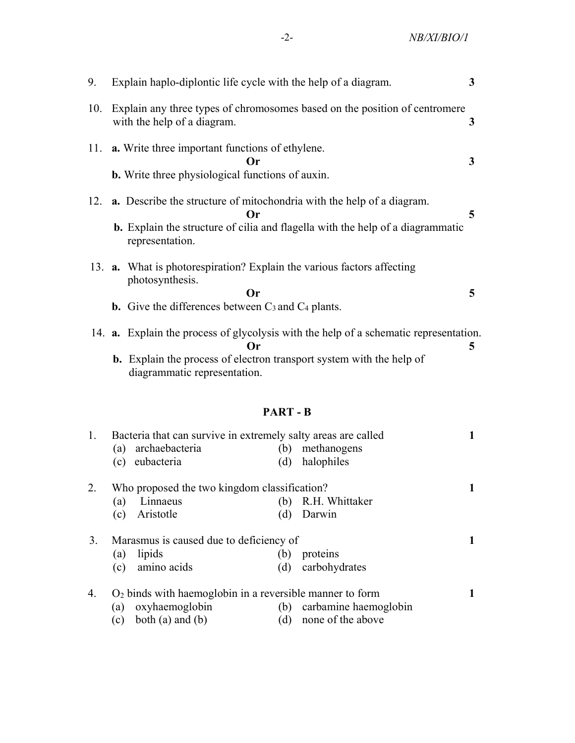| 9.  | Explain haplo-diplontic life cycle with the help of a diagram.                                                                                                                                                    |   |  |
|-----|-------------------------------------------------------------------------------------------------------------------------------------------------------------------------------------------------------------------|---|--|
| 10. | Explain any three types of chromosomes based on the position of centromere<br>with the help of a diagram.                                                                                                         | 3 |  |
|     | 11. <b>a.</b> Write three important functions of ethylene.<br>Or<br><b>b.</b> Write three physiological functions of auxin.                                                                                       | 3 |  |
| 12. | <b>a.</b> Describe the structure of mitochondria with the help of a diagram.<br>Or<br><b>b.</b> Explain the structure of cilia and flagella with the help of a diagrammatic<br>representation.                    | 5 |  |
|     | 13. <b>a.</b> What is photorespiration? Explain the various factors affecting<br>photosynthesis.<br>Or<br><b>b.</b> Give the differences between $C_3$ and $C_4$ plants.                                          | 5 |  |
|     | 14. <b>a.</b> Explain the process of glycolysis with the help of a schematic representation.<br>Or<br><b>b.</b> Explain the process of electron transport system with the help of<br>diagrammatic representation. | 5 |  |

## PART - B

| 1. | Bacteria that can survive in extremely salty areas are called |                           |  |
|----|---------------------------------------------------------------|---------------------------|--|
|    | archaebacteria<br>(a)                                         | methanogens<br>(b)        |  |
|    | eubacteria<br>(c)                                             | halophiles<br>(d)         |  |
| 2. | Who proposed the two kingdom classification?                  |                           |  |
|    | Linnaeus<br>(a)                                               | R.H. Whittaker<br>(b)     |  |
|    | Aristotle<br>(c)                                              | Darwin<br>(d)             |  |
| 3. | Marasmus is caused due to deficiency of                       |                           |  |
|    | lipids<br>(a)                                                 | proteins<br>(b)           |  |
|    | amino acids<br>(c)                                            | carbohydrates<br>(d)      |  |
| 4. | $O2$ binds with haemoglobin in a reversible manner to form    |                           |  |
|    | oxyhaemoglobin<br>(a)                                         | (b) carbamine haemoglobin |  |
|    | both $(a)$ and $(b)$<br>(c)                                   | none of the above<br>(d)  |  |